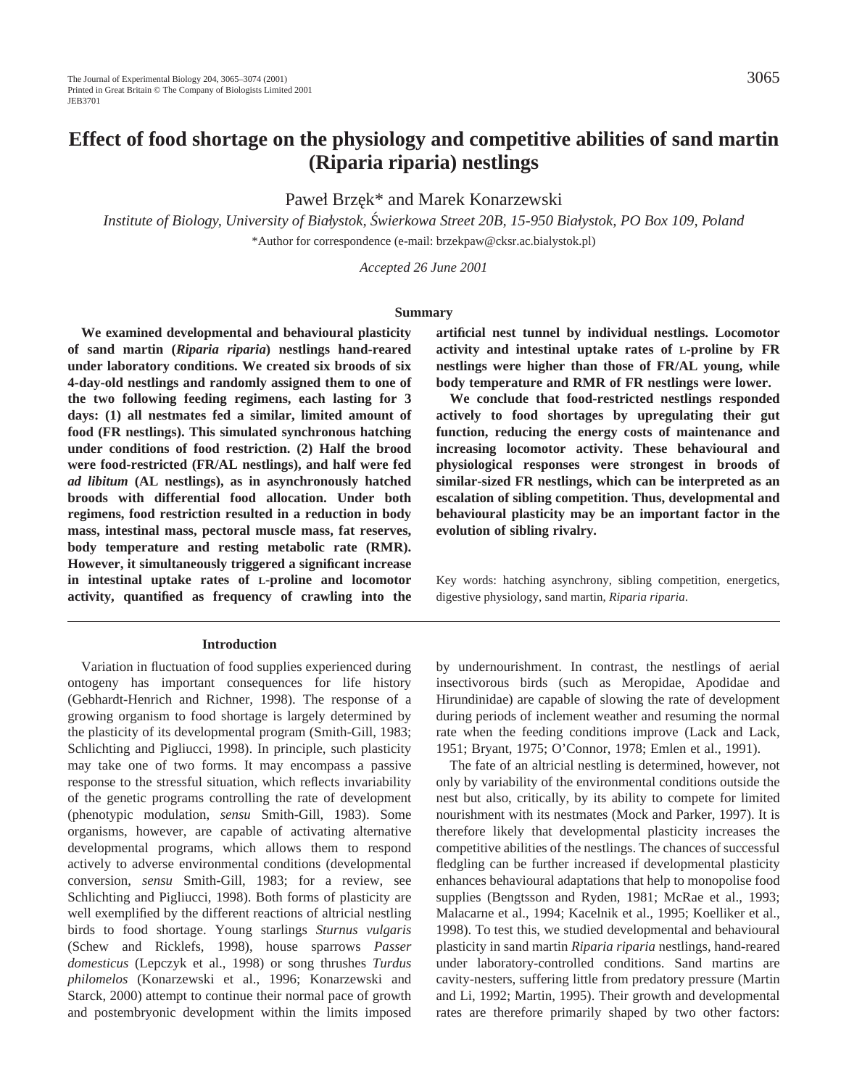# **Effect of food shortage on the physiology and competitive abilities of sand martin (Riparia riparia) nestlings**

Paweł Brzek\* and Marek Konarzewski

*Institute of Biology, University of Bial´ystok, S´wierkowa Street 20B, 15-950 Bial´ystok, PO Box 109, Poland* \*Author for correspondence (e-mail: brzekpaw@cksr.ac.bialystok.pl)

*Accepted 26 June 2001*

### **Summary**

**We examined developmental and behavioural plasticity of sand martin (***Riparia riparia***) nestlings hand-reared under laboratory conditions. We created six broods of six 4-day-old nestlings and randomly assigned them to one of the two following feeding regimens, each lasting for 3 days: (1) all nestmates fed a similar, limited amount of food (FR nestlings). This simulated synchronous hatching under conditions of food restriction. (2) Half the brood were food-restricted (FR/AL nestlings), and half were fed** *ad libitum* **(AL nestlings), as in asynchronously hatched broods with differential food allocation. Under both regimens, food restriction resulted in a reduction in body mass, intestinal mass, pectoral muscle mass, fat reserves, body temperature and resting metabolic rate (RMR). However, it simultaneously triggered a significant increase in intestinal uptake rates of L-proline and locomotor activity, quantified as frequency of crawling into the**

#### **Introduction**

Variation in fluctuation of food supplies experienced during ontogeny has important consequences for life history (Gebhardt-Henrich and Richner, 1998). The response of a growing organism to food shortage is largely determined by the plasticity of its developmental program (Smith-Gill, 1983; Schlichting and Pigliucci, 1998). In principle, such plasticity may take one of two forms. It may encompass a passive response to the stressful situation, which reflects invariability of the genetic programs controlling the rate of development (phenotypic modulation, *sensu* Smith-Gill, 1983). Some organisms, however, are capable of activating alternative developmental programs, which allows them to respond actively to adverse environmental conditions (developmental conversion, *sensu* Smith-Gill, 1983; for a review, see Schlichting and Pigliucci, 1998). Both forms of plasticity are well exemplified by the different reactions of altricial nestling birds to food shortage. Young starlings *Sturnus vulgaris* (Schew and Ricklefs, 1998), house sparrows *Passer domesticus* (Lepczyk et al., 1998) or song thrushes *Turdus philomelos* (Konarzewski et al., 1996; Konarzewski and Starck, 2000) attempt to continue their normal pace of growth and postembryonic development within the limits imposed **artificial nest tunnel by individual nestlings. Locomotor activity and intestinal uptake rates of L-proline by FR nestlings were higher than those of FR/AL young, while body temperature and RMR of FR nestlings were lower.**

**We conclude that food-restricted nestlings responded actively to food shortages by upregulating their gut function, reducing the energy costs of maintenance and increasing locomotor activity. These behavioural and physiological responses were strongest in broods of similar-sized FR nestlings, which can be interpreted as an escalation of sibling competition. Thus, developmental and behavioural plasticity may be an important factor in the evolution of sibling rivalry.**

Key words: hatching asynchrony, sibling competition, energetics, digestive physiology, sand martin, *Riparia riparia*.

by undernourishment. In contrast, the nestlings of aerial insectivorous birds (such as Meropidae, Apodidae and Hirundinidae) are capable of slowing the rate of development during periods of inclement weather and resuming the normal rate when the feeding conditions improve (Lack and Lack, 1951; Bryant, 1975; O'Connor, 1978; Emlen et al., 1991).

The fate of an altricial nestling is determined, however, not only by variability of the environmental conditions outside the nest but also, critically, by its ability to compete for limited nourishment with its nestmates (Mock and Parker, 1997). It is therefore likely that developmental plasticity increases the competitive abilities of the nestlings. The chances of successful fledgling can be further increased if developmental plasticity enhances behavioural adaptations that help to monopolise food supplies (Bengtsson and Ryden, 1981; McRae et al., 1993; Malacarne et al., 1994; Kacelnik et al., 1995; Koelliker et al., 1998). To test this, we studied developmental and behavioural plasticity in sand martin *Riparia riparia* nestlings, hand-reared under laboratory-controlled conditions. Sand martins are cavity-nesters, suffering little from predatory pressure (Martin and Li, 1992; Martin, 1995). Their growth and developmental rates are therefore primarily shaped by two other factors: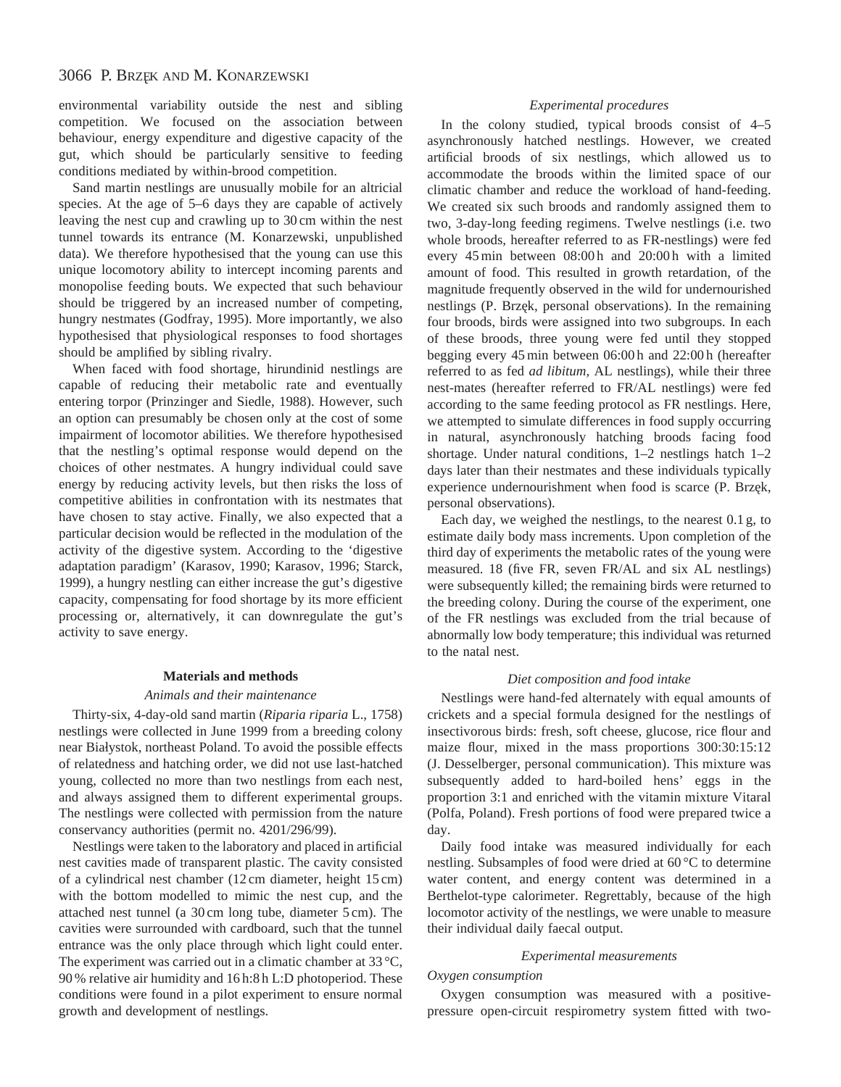environmental variability outside the nest and sibling competition. We focused on the association between behaviour, energy expenditure and digestive capacity of the gut, which should be particularly sensitive to feeding conditions mediated by within-brood competition.

Sand martin nestlings are unusually mobile for an altricial species. At the age of 5–6 days they are capable of actively leaving the nest cup and crawling up to 30 cm within the nest tunnel towards its entrance (M. Konarzewski, unpublished data). We therefore hypothesised that the young can use this unique locomotory ability to intercept incoming parents and monopolise feeding bouts. We expected that such behaviour should be triggered by an increased number of competing, hungry nestmates (Godfray, 1995). More importantly, we also hypothesised that physiological responses to food shortages should be amplified by sibling rivalry.

When faced with food shortage, hirundinid nestlings are capable of reducing their metabolic rate and eventually entering torpor (Prinzinger and Siedle, 1988). However, such an option can presumably be chosen only at the cost of some impairment of locomotor abilities. We therefore hypothesised that the nestling's optimal response would depend on the choices of other nestmates. A hungry individual could save energy by reducing activity levels, but then risks the loss of competitive abilities in confrontation with its nestmates that have chosen to stay active. Finally, we also expected that a particular decision would be reflected in the modulation of the activity of the digestive system. According to the 'digestive adaptation paradigm' (Karasov, 1990; Karasov, 1996; Starck, 1999), a hungry nestling can either increase the gut's digestive capacity, compensating for food shortage by its more efficient processing or, alternatively, it can downregulate the gut's activity to save energy.

## **Materials and methods**

#### *Animals and their maintenance*

Thirty-six, 4-day-old sand martin (*Riparia riparia* L., 1758) nestlings were collected in June 1999 from a breeding colony near Białystok, northeast Poland. To avoid the possible effects of relatedness and hatching order, we did not use last-hatched young, collected no more than two nestlings from each nest, and always assigned them to different experimental groups. The nestlings were collected with permission from the nature conservancy authorities (permit no. 4201/296/99).

Nestlings were taken to the laboratory and placed in artificial nest cavities made of transparent plastic. The cavity consisted of a cylindrical nest chamber (12 cm diameter, height 15 cm) with the bottom modelled to mimic the nest cup, and the attached nest tunnel (a 30 cm long tube, diameter 5 cm). The cavities were surrounded with cardboard, such that the tunnel entrance was the only place through which light could enter. The experiment was carried out in a climatic chamber at 33 °C, 90 % relative air humidity and 16 h:8 h L:D photoperiod. These conditions were found in a pilot experiment to ensure normal growth and development of nestlings.

## *Experimental procedures*

In the colony studied, typical broods consist of 4–5 asynchronously hatched nestlings. However, we created artificial broods of six nestlings, which allowed us to accommodate the broods within the limited space of our climatic chamber and reduce the workload of hand-feeding. We created six such broods and randomly assigned them to two, 3-day-long feeding regimens. Twelve nestlings (i.e. two whole broods, hereafter referred to as FR-nestlings) were fed every 45 min between 08:00 h and 20:00 h with a limited amount of food. This resulted in growth retardation, of the magnitude frequently observed in the wild for undernourished nestlings (P. Brzęk, personal observations). In the remaining four broods, birds were assigned into two subgroups. In each of these broods, three young were fed until they stopped begging every 45 min between 06:00 h and 22:00 h (hereafter referred to as fed *ad libitum,* AL nestlings), while their three nest-mates (hereafter referred to FR/AL nestlings) were fed according to the same feeding protocol as FR nestlings. Here, we attempted to simulate differences in food supply occurring in natural, asynchronously hatching broods facing food shortage. Under natural conditions, 1–2 nestlings hatch 1–2 days later than their nestmates and these individuals typically experience undernourishment when food is scarce (P. Brzek, personal observations).

Each day, we weighed the nestlings, to the nearest 0.1 g, to estimate daily body mass increments. Upon completion of the third day of experiments the metabolic rates of the young were measured. 18 (five FR, seven FR/AL and six AL nestlings) were subsequently killed; the remaining birds were returned to the breeding colony. During the course of the experiment, one of the FR nestlings was excluded from the trial because of abnormally low body temperature; this individual was returned to the natal nest.

### *Diet composition and food intake*

Nestlings were hand-fed alternately with equal amounts of crickets and a special formula designed for the nestlings of insectivorous birds: fresh, soft cheese, glucose, rice flour and maize flour, mixed in the mass proportions 300:30:15:12 (J. Desselberger, personal communication). This mixture was subsequently added to hard-boiled hens' eggs in the proportion 3:1 and enriched with the vitamin mixture Vitaral (Polfa, Poland). Fresh portions of food were prepared twice a day.

Daily food intake was measured individually for each nestling. Subsamples of food were dried at 60 °C to determine water content, and energy content was determined in a Berthelot-type calorimeter. Regrettably, because of the high locomotor activity of the nestlings, we were unable to measure their individual daily faecal output.

#### *Experimental measurements*

## *Oxygen consumption*

Oxygen consumption was measured with a positivepressure open-circuit respirometry system fitted with two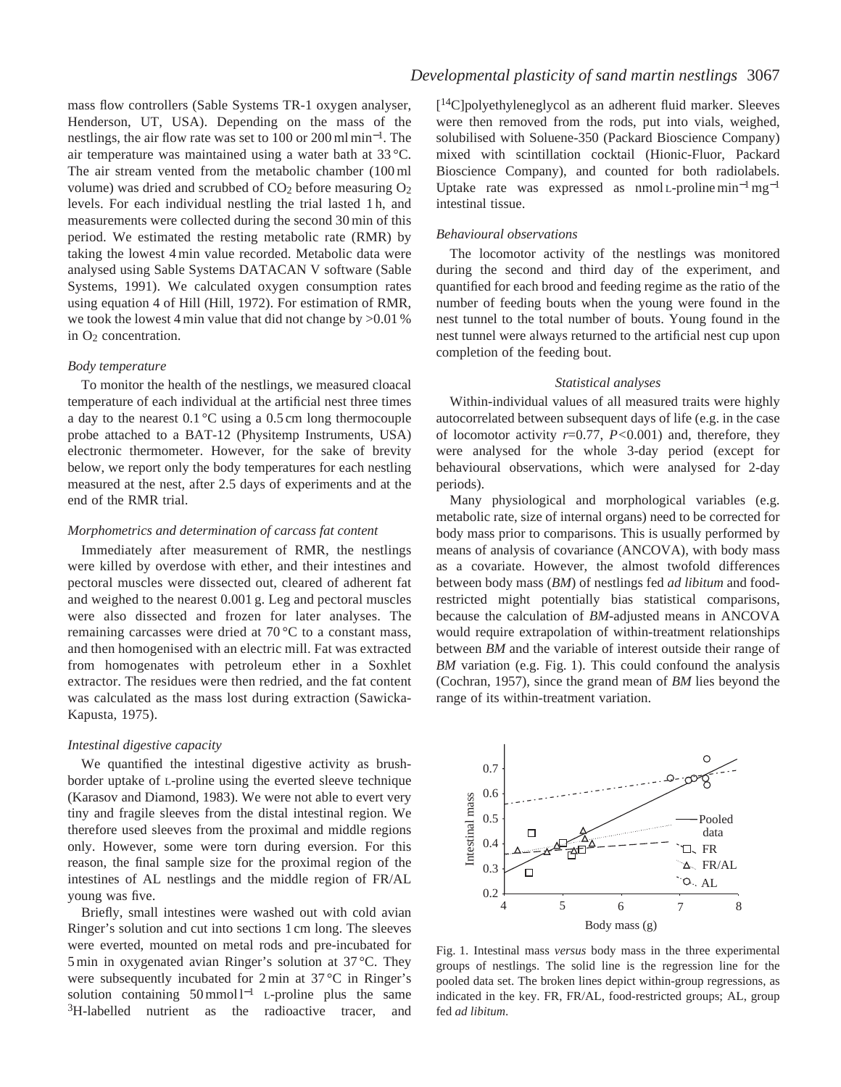mass flow controllers (Sable Systems TR-1 oxygen analyser, Henderson, UT, USA). Depending on the mass of the nestlings, the air flow rate was set to 100 or 200 ml min<sup>−</sup>1. The air temperature was maintained using a water bath at 33 °C. The air stream vented from the metabolic chamber (100 ml volume) was dried and scrubbed of  $CO<sub>2</sub>$  before measuring  $O<sub>2</sub>$ levels. For each individual nestling the trial lasted 1 h, and measurements were collected during the second 30 min of this period. We estimated the resting metabolic rate (RMR) by taking the lowest 4 min value recorded. Metabolic data were analysed using Sable Systems DATACAN V software (Sable Systems, 1991). We calculated oxygen consumption rates using equation 4 of Hill (Hill, 1972). For estimation of RMR, we took the lowest 4 min value that did not change by >0.01 % in O2 concentration.

#### *Body temperature*

To monitor the health of the nestlings, we measured cloacal temperature of each individual at the artificial nest three times a day to the nearest 0.1 °C using a 0.5 cm long thermocouple probe attached to a BAT-12 (Physitemp Instruments, USA) electronic thermometer. However, for the sake of brevity below, we report only the body temperatures for each nestling measured at the nest, after 2.5 days of experiments and at the end of the RMR trial.

#### *Morphometrics and determination of carcass fat content*

Immediately after measurement of RMR, the nestlings were killed by overdose with ether, and their intestines and pectoral muscles were dissected out, cleared of adherent fat and weighed to the nearest 0.001 g. Leg and pectoral muscles were also dissected and frozen for later analyses. The remaining carcasses were dried at 70 °C to a constant mass, and then homogenised with an electric mill. Fat was extracted from homogenates with petroleum ether in a Soxhlet extractor. The residues were then redried, and the fat content was calculated as the mass lost during extraction (Sawicka-Kapusta, 1975).

## *Intestinal digestive capacity*

We quantified the intestinal digestive activity as brushborder uptake of L-proline using the everted sleeve technique (Karasov and Diamond, 1983). We were not able to evert very tiny and fragile sleeves from the distal intestinal region. We therefore used sleeves from the proximal and middle regions only. However, some were torn during eversion. For this reason, the final sample size for the proximal region of the intestines of AL nestlings and the middle region of FR/AL young was five.

Briefly, small intestines were washed out with cold avian Ringer's solution and cut into sections 1 cm long. The sleeves were everted, mounted on metal rods and pre-incubated for 5 min in oxygenated avian Ringer's solution at 37 °C. They were subsequently incubated for 2 min at 37 °C in Ringer's solution containing  $50 \text{ mmol } l^{-1}$  L-proline plus the same <sup>3</sup>H-labelled nutrient as the radioactive tracer, and [14C]polyethyleneglycol as an adherent fluid marker. Sleeves were then removed from the rods, put into vials, weighed, solubilised with Soluene-350 (Packard Bioscience Company) mixed with scintillation cocktail (Hionic-Fluor, Packard Bioscience Company), and counted for both radiolabels. Uptake rate was expressed as nmol L-proline min<sup>-1</sup>mg<sup>-1</sup> intestinal tissue.

### *Behavioural observations*

The locomotor activity of the nestlings was monitored during the second and third day of the experiment, and quantified for each brood and feeding regime as the ratio of the number of feeding bouts when the young were found in the nest tunnel to the total number of bouts. Young found in the nest tunnel were always returned to the artificial nest cup upon completion of the feeding bout.

#### *Statistical analyses*

Within-individual values of all measured traits were highly autocorrelated between subsequent days of life (e.g. in the case of locomotor activity *r*=0.77, *P<*0.001) and, therefore, they were analysed for the whole 3-day period (except for behavioural observations, which were analysed for 2-day periods).

Many physiological and morphological variables (e.g. metabolic rate, size of internal organs) need to be corrected for body mass prior to comparisons. This is usually performed by means of analysis of covariance (ANCOVA), with body mass as a covariate. However, the almost twofold differences between body mass (*BM*) of nestlings fed *ad libitum* and foodrestricted might potentially bias statistical comparisons, because the calculation of *BM*-adjusted means in ANCOVA would require extrapolation of within-treatment relationships between *BM* and the variable of interest outside their range of *BM* variation (e.g. Fig. 1). This could confound the analysis (Cochran, 1957), since the grand mean of *BM* lies beyond the range of its within-treatment variation.



Fig. 1. Intestinal mass *versus* body mass in the three experimental groups of nestlings. The solid line is the regression line for the pooled data set. The broken lines depict within-group regressions, as indicated in the key. FR, FR/AL, food-restricted groups; AL, group fed *ad libitum*.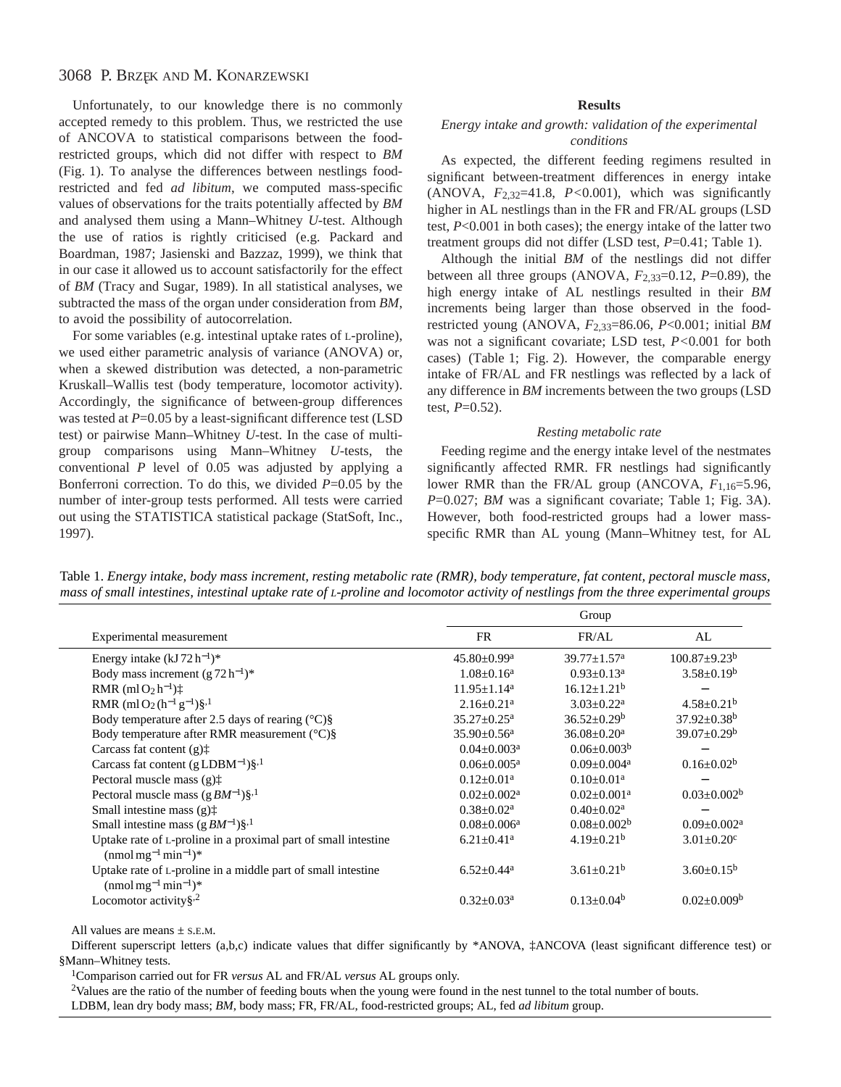Unfortunately, to our knowledge there is no commonly accepted remedy to this problem. Thus, we restricted the use of ANCOVA to statistical comparisons between the foodrestricted groups, which did not differ with respect to *BM* (Fig. 1). To analyse the differences between nestlings foodrestricted and fed *ad libitum*, we computed mass-specific values of observations for the traits potentially affected by *BM* and analysed them using a Mann–Whitney *U*-test. Although the use of ratios is rightly criticised (e.g. Packard and Boardman, 1987; Jasienski and Bazzaz, 1999), we think that in our case it allowed us to account satisfactorily for the effect of *BM* (Tracy and Sugar, 1989). In all statistical analyses, we subtracted the mass of the organ under consideration from *BM*, to avoid the possibility of autocorrelation.

For some variables (e.g. intestinal uptake rates of L-proline), we used either parametric analysis of variance (ANOVA) or, when a skewed distribution was detected, a non-parametric Kruskall–Wallis test (body temperature, locomotor activity). Accordingly, the significance of between-group differences was tested at *P*=0.05 by a least-significant difference test (LSD test) or pairwise Mann–Whitney *U*-test. In the case of multigroup comparisons using Mann–Whitney *U*-tests, the conventional *P* level of 0.05 was adjusted by applying a Bonferroni correction. To do this, we divided *P*=0.05 by the number of inter-group tests performed. All tests were carried out using the STATISTICA statistical package (StatSoft, Inc., 1997).

## **Results**

## *Energy intake and growth: validation of the experimental conditions*

As expected, the different feeding regimens resulted in significant between-treatment differences in energy intake (ANOVA, *F*2,32=41.8, *P<*0.001), which was significantly higher in AL nestlings than in the FR and FR/AL groups (LSD test, *P*<0.001 in both cases); the energy intake of the latter two treatment groups did not differ (LSD test, *P*=0.41; Table 1).

Although the initial *BM* of the nestlings did not differ between all three groups (ANOVA,  $F_{2,33}=0.12$ ,  $P=0.89$ ), the high energy intake of AL nestlings resulted in their *BM* increments being larger than those observed in the foodrestricted young (ANOVA, *F*2,33=86.06, *P*<0.001; initial *BM* was not a significant covariate; LSD test, *P<*0.001 for both cases) (Table 1; Fig. 2). However, the comparable energy intake of FR/AL and FR nestlings was reflected by a lack of any difference in *BM* increments between the two groups (LSD test,  $P=0.52$ ).

## *Resting metabolic rate*

Feeding regime and the energy intake level of the nestmates significantly affected RMR. FR nestlings had significantly lower RMR than the FR/AL group (ANCOVA,  $F_{1,16}=5.96$ , *P*=0.027; *BM* was a significant covariate; Table 1; Fig. 3A). However, both food-restricted groups had a lower massspecific RMR than AL young (Mann–Whitney test, for AL

Table 1. *Energy intake, body mass increment, resting metabolic rate (RMR), body temperature, fat content, pectoral muscle mass, mass of small intestines, intestinal uptake rate of L-proline and locomotor activity of nestlings from the three experimental groups* 

| Experimental measurement                                                                            | Group                         |                             |                               |
|-----------------------------------------------------------------------------------------------------|-------------------------------|-----------------------------|-------------------------------|
|                                                                                                     | <b>FR</b>                     | FR/AL                       | AL                            |
| Energy intake $(kJ 72 h^{-1})^*$                                                                    | $45.80 \pm 0.99$ <sup>a</sup> | $39.77 + 1.57^a$            | $100.87 \pm 9.23^b$           |
| Body mass increment $(g 72 h^{-1})^*$                                                               | $1.08 \pm 0.16^a$             | $0.93 \pm 0.13^a$           | $3.58 \pm 0.19^b$             |
| RMR (ml $O_2 h^{-1}$ ) $\ddagger$                                                                   | $11.95 \pm 1.14^a$            | $16.12 + 1.21^b$            |                               |
| RMR (ml O <sub>2</sub> (h <sup>-1</sup> g <sup>-1</sup> )§, <sup>1</sup>                            | $2.16 + 0.21$ <sup>a</sup>    | $3.03 \pm 0.22^a$           | $4.58 \pm 0.21^b$             |
| Body temperature after 2.5 days of rearing $(^{\circ}C)\$                                           | $35.27 \pm 0.25^{\text{a}}$   | $36.52 \pm 0.29^b$          | $37.92 \pm 0.38^{\rm b}$      |
| Body temperature after RMR measurement $(^{\circ}C)\$ §                                             | $35.90 \pm 0.56^{\text{a}}$   | $36.08 \pm 0.20^a$          | $39.07 \pm 0.29^b$            |
| Carcass fat content $(g)$ <sup><math>\dagger</math></sup>                                           | $0.04 \pm 0.003$ <sup>a</sup> | $0.06 \pm 0.003^b$          |                               |
| Carcass fat content $(gLDBM^{-1})\S^{1}$                                                            | $0.06 \pm 0.005^{\text{a}}$   | $0.09 + 0.004$ <sup>a</sup> | $0.16 \pm 0.02^b$             |
| Pectoral muscle mass $(g)$ <sup><math>\dagger</math></sup>                                          | $0.12 + 0.01a$                | $0.10+0.01a$                |                               |
| Pectoral muscle mass $(gBM^{-1})\S^{1}$                                                             | $0.02 + 0.002^a$              | $0.02 + 0.001a$             | $0.03 \pm 0.002^b$            |
| Small intestine mass $(g)$ <sup><math>\dagger</math></sup>                                          | $0.38 \pm 0.02^a$             | $0.40 \pm 0.02^a$           |                               |
| Small intestine mass $(gBM^{-1})\S^{1}$                                                             | $0.08 \pm 0.006^a$            | $0.08 \pm 0.002^b$          | $0.09 \pm 0.002$ <sup>a</sup> |
| Uptake rate of L-proline in a proximal part of small intestine<br>$(nmol \, mg^{-1} \, min^{-1})^*$ | $6.21 \pm 0.41$ <sup>a</sup>  | $4.19 + 0.21^b$             | $3.01 \pm 0.20$ <sup>c</sup>  |
| Uptake rate of L-proline in a middle part of small intestine<br>$(nmol \, mg^{-1} \, min^{-1})^*$   | $6.52 \pm 0.44$ <sup>a</sup>  | $3.61 \pm 0.21^b$           | $3.60 \pm 0.15^b$             |
| Locomotor activity $\S$ <sup>2</sup>                                                                | $0.32 \pm 0.03^a$             | $0.13 \pm 0.04^b$           | $0.02 \pm 0.009$ <sup>b</sup> |

All values are means ± S.E.M.

Different superscript letters (a,b,c) indicate values that differ significantly by \*ANOVA,  $\sharp$ ANCOVA (least significant difference test) or §Mann–Whitney tests.

1Comparison carried out for FR *versus* AL and FR/AL *versus* AL groups only.

<sup>2</sup>Values are the ratio of the number of feeding bouts when the young were found in the nest tunnel to the total number of bouts.

LDBM, lean dry body mass; *BM*, body mass; FR, FR/AL, food-restricted groups; AL, fed *ad libitum* group.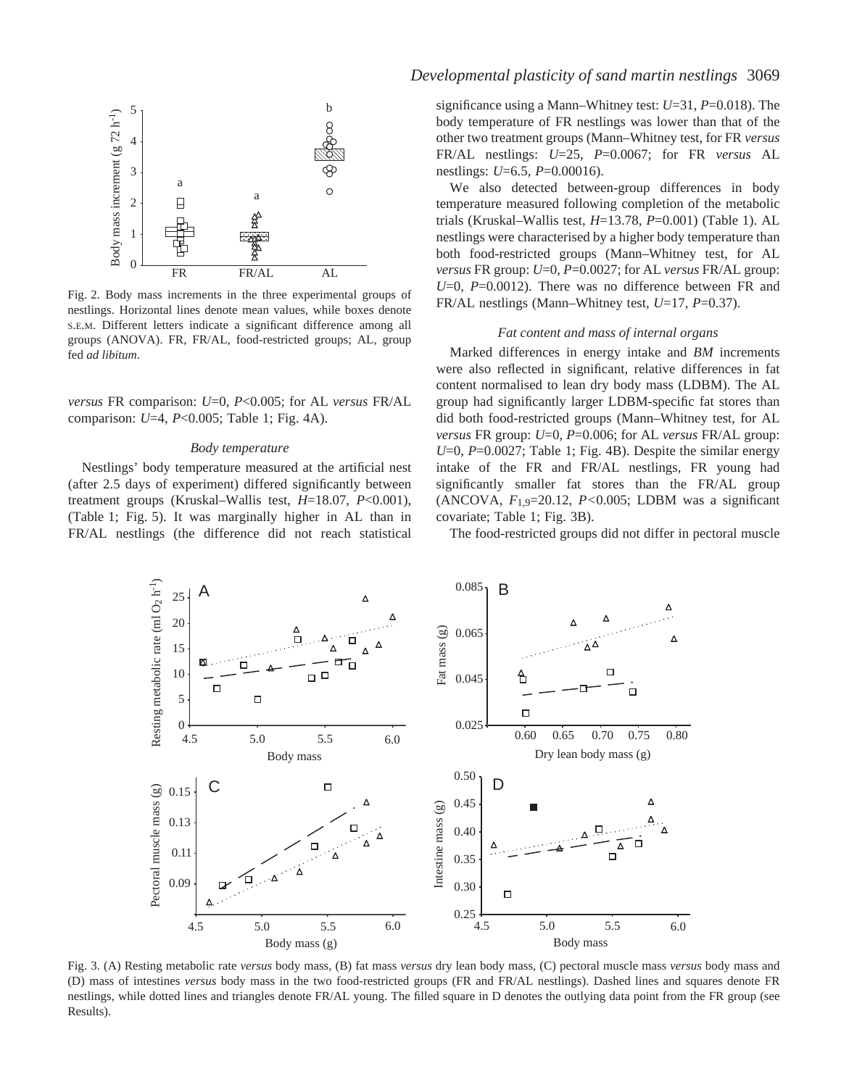

Fig. 2. Body mass increments in the three experimental groups of nestlings. Horizontal lines denote mean values, while boxes denote S.E.M. Different letters indicate a significant difference among all groups (ANOVA). FR, FR/AL, food-restricted groups; AL, group fed *ad libitum*.

*versus* FR comparison: *U*=0, *P*<0.005; for AL *versus* FR/AL comparison: *U*=4, *P*<0.005; Table 1; Fig. 4A).

#### *Body temperature*

Nestlings' body temperature measured at the artificial nest (after 2.5 days of experiment) differed significantly between treatment groups (Kruskal–Wallis test, *H*=18.07, *P*<0.001), (Table 1; Fig. 5). It was marginally higher in AL than in FR/AL nestlings (the difference did not reach statistical

## *Developmental plasticity of sand martin nestlings* 3069

significance using a Mann–Whitney test: *U*=31, *P*=0.018). The body temperature of FR nestlings was lower than that of the other two treatment groups (Mann–Whitney test, for FR *versus* FR/AL nestlings: *U*=25, *P*=0.0067; for FR *versus* AL nestlings: *U*=6.5, *P*=0.00016).

We also detected between-group differences in body temperature measured following completion of the metabolic trials (Kruskal–Wallis test, *H*=13.78, *P*=0.001) (Table 1). AL nestlings were characterised by a higher body temperature than both food-restricted groups (Mann–Whitney test, for AL *versus* FR group: *U*=0, *P*=0.0027; for AL *versus* FR/AL group: *U*=0, *P*=0.0012). There was no difference between FR and FR/AL nestlings (Mann–Whitney test, *U*=17, *P*=0.37).

### *Fat content and mass of internal organs*

Marked differences in energy intake and *BM* increments were also reflected in significant, relative differences in fat content normalised to lean dry body mass (LDBM). The AL group had significantly larger LDBM-specific fat stores than did both food-restricted groups (Mann–Whitney test, for AL *versus* FR group: *U*=0, *P*=0.006; for AL *versus* FR/AL group: *U*=0, *P*=0.0027; Table 1; Fig. 4B). Despite the similar energy intake of the FR and FR/AL nestlings, FR young had significantly smaller fat stores than the FR/AL group (ANCOVA, *F*1,9=20.12, *P<*0.005; LDBM was a significant covariate; Table 1; Fig. 3B).

The food-restricted groups did not differ in pectoral muscle



Fig. 3. (A) Resting metabolic rate *versus* body mass, (B) fat mass *versus* dry lean body mass, (C) pectoral muscle mass *versus* body mass and (D) mass of intestines *versus* body mass in the two food-restricted groups (FR and FR/AL nestlings). Dashed lines and squares denote FR nestlings, while dotted lines and triangles denote FR/AL young. The filled square in D denotes the outlying data point from the FR group (see Results).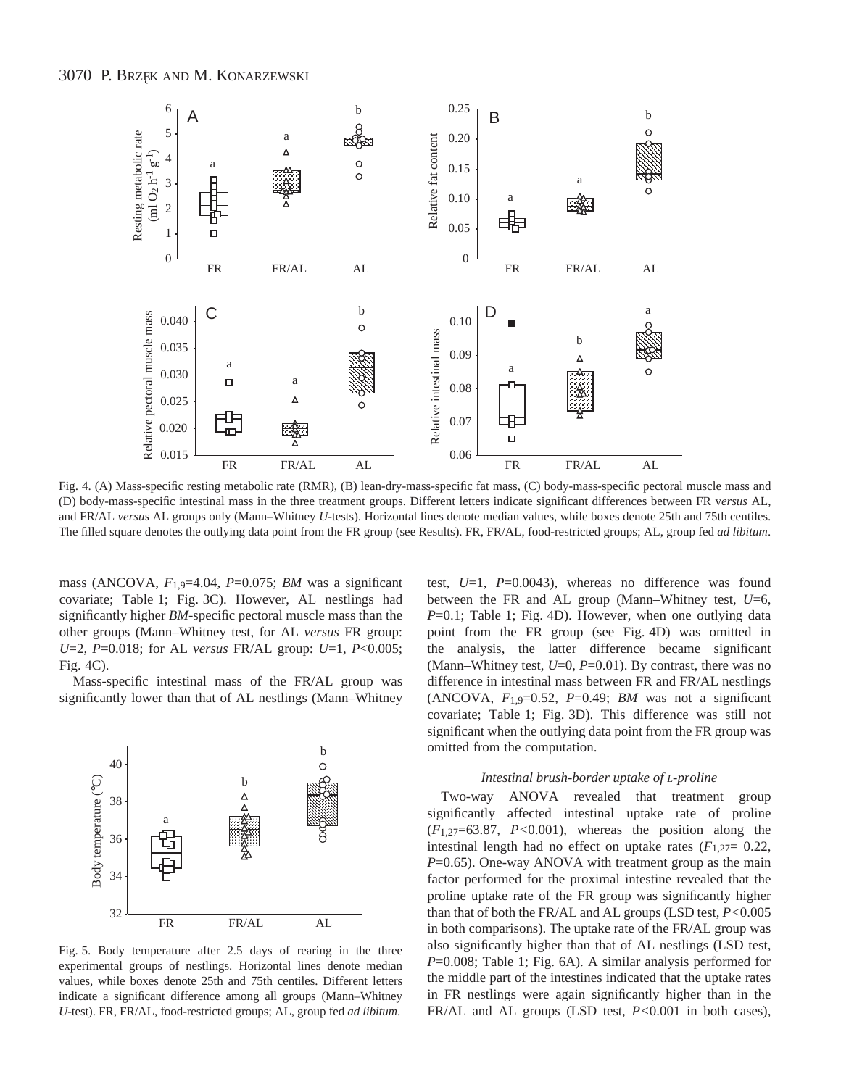

Fig. 4. (A) Mass-specific resting metabolic rate (RMR), (B) lean-dry-mass-specific fat mass, (C) body-mass-specific pectoral muscle mass and (D) body-mass-specific intestinal mass in the three treatment groups. Different letters indicate significant differences between FR v*ersus* AL, and FR/AL *versus* AL groups only (Mann–Whitney *U*-tests). Horizontal lines denote median values, while boxes denote 25th and 75th centiles. The filled square denotes the outlying data point from the FR group (see Results). FR, FR/AL, food-restricted groups; AL, group fed *ad libitum*.

mass (ANCOVA, *F*1,9=4.04, *P*=0.075; *BM* was a significant covariate; Table 1; Fig. 3C). However, AL nestlings had significantly higher *BM*-specific pectoral muscle mass than the other groups (Mann–Whitney test, for AL *versus* FR group: *U*=2, *P*=0.018; for AL *versus* FR/AL group: *U*=1, *P*<0.005; Fig. 4C).

Mass-specific intestinal mass of the FR/AL group was significantly lower than that of AL nestlings (Mann–Whitney



Fig. 5. Body temperature after 2.5 days of rearing in the three experimental groups of nestlings. Horizontal lines denote median values, while boxes denote 25th and 75th centiles. Different letters indicate a significant difference among all groups (Mann–Whitney *U*-test). FR, FR/AL, food-restricted groups; AL, group fed *ad libitum*.

test, *U*=1, *P*=0.0043), whereas no difference was found between the FR and AL group (Mann–Whitney test, *U*=6, *P*=0.1; Table 1; Fig. 4D). However, when one outlying data point from the FR group (see Fig. 4D) was omitted in the analysis, the latter difference became significant (Mann–Whitney test,  $U=0$ ,  $P=0.01$ ). By contrast, there was no difference in intestinal mass between FR and FR/AL nestlings (ANCOVA,  $F_{1,9}=0.52$ ,  $P=0.49$ ; *BM* was not a significant covariate; Table 1; Fig. 3D). This difference was still not significant when the outlying data point from the FR group was omitted from the computation.

#### *Intestinal brush-border uptake of L-proline*

Two-way ANOVA revealed that treatment group significantly affected intestinal uptake rate of proline (*F*1,27=63.87, *P<*0.001), whereas the position along the intestinal length had no effect on uptake rates  $(F_{1,27}= 0.22,$ *P*=0.65). One-way ANOVA with treatment group as the main factor performed for the proximal intestine revealed that the proline uptake rate of the FR group was significantly higher than that of both the FR/AL and AL groups (LSD test, *P<*0.005 in both comparisons). The uptake rate of the FR/AL group was also significantly higher than that of AL nestlings (LSD test, *P*=0.008; Table 1; Fig. 6A). A similar analysis performed for the middle part of the intestines indicated that the uptake rates in FR nestlings were again significantly higher than in the FR/AL and AL groups (LSD test, *P<*0.001 in both cases),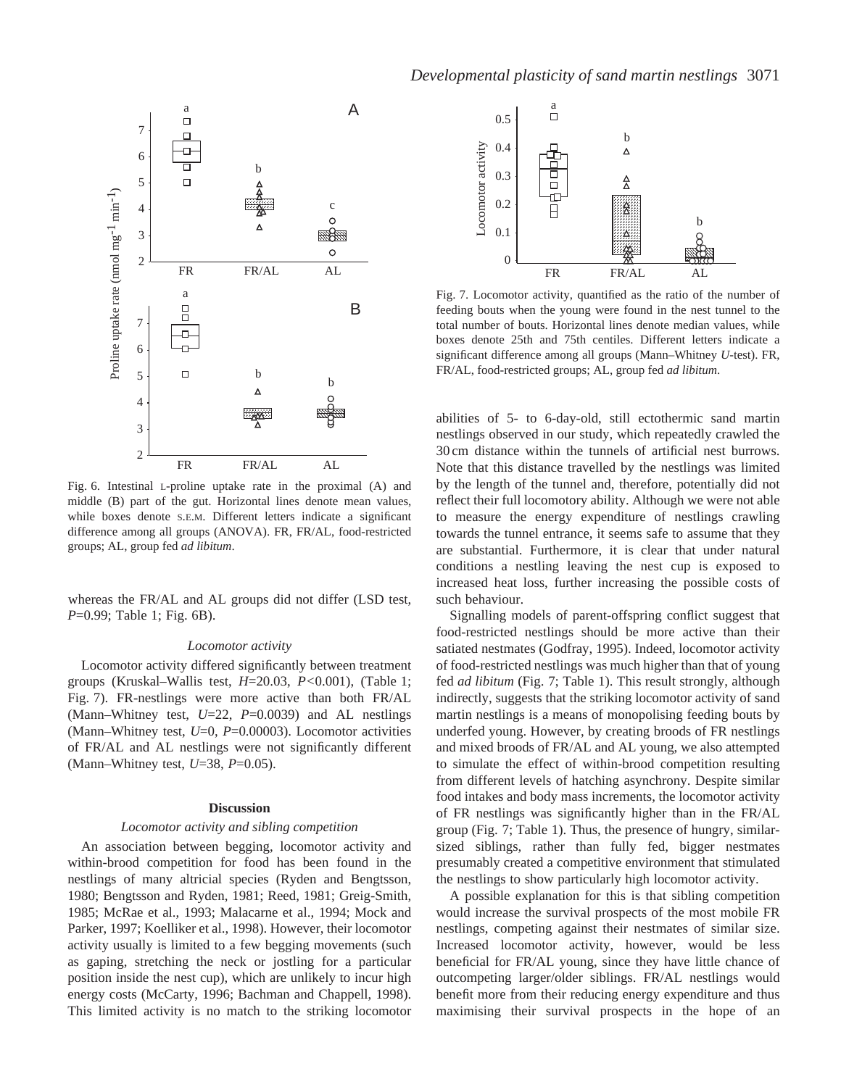

Fig. 6. Intestinal L-proline uptake rate in the proximal (A) and middle (B) part of the gut. Horizontal lines denote mean values, while boxes denote S.E.M. Different letters indicate a significant difference among all groups (ANOVA). FR, FR/AL, food-restricted groups; AL, group fed *ad libitum*.

whereas the FR/AL and AL groups did not differ (LSD test, *P*=0.99; Table 1; Fig. 6B).

### *Locomotor activity*

Locomotor activity differed significantly between treatment groups (Kruskal–Wallis test, *H*=20.03, *P<*0.001), (Table 1; Fig. 7). FR-nestlings were more active than both FR/AL (Mann–Whitney test, *U*=22, *P*=0.0039) and AL nestlings (Mann–Whitney test, *U*=0, *P*=0.00003). Locomotor activities of FR/AL and AL nestlings were not significantly different (Mann–Whitney test, *U*=38, *P*=0.05).

## **Discussion**

#### *Locomotor activity and sibling competition*

An association between begging, locomotor activity and within-brood competition for food has been found in the nestlings of many altricial species (Ryden and Bengtsson, 1980; Bengtsson and Ryden, 1981; Reed, 1981; Greig-Smith, 1985; McRae et al., 1993; Malacarne et al., 1994; Mock and Parker, 1997; Koelliker et al., 1998). However, their locomotor activity usually is limited to a few begging movements (such as gaping, stretching the neck or jostling for a particular position inside the nest cup), which are unlikely to incur high energy costs (McCarty, 1996; Bachman and Chappell, 1998). This limited activity is no match to the striking locomotor



Fig. 7. Locomotor activity, quantified as the ratio of the number of feeding bouts when the young were found in the nest tunnel to the total number of bouts. Horizontal lines denote median values, while boxes denote 25th and 75th centiles. Different letters indicate a significant difference among all groups (Mann–Whitney *U*-test). FR, FR/AL, food-restricted groups; AL, group fed *ad libitum*.

abilities of 5- to 6-day-old, still ectothermic sand martin nestlings observed in our study, which repeatedly crawled the 30 cm distance within the tunnels of artificial nest burrows. Note that this distance travelled by the nestlings was limited by the length of the tunnel and, therefore, potentially did not reflect their full locomotory ability. Although we were not able to measure the energy expenditure of nestlings crawling towards the tunnel entrance, it seems safe to assume that they are substantial. Furthermore, it is clear that under natural conditions a nestling leaving the nest cup is exposed to increased heat loss, further increasing the possible costs of such behaviour.

Signalling models of parent-offspring conflict suggest that food-restricted nestlings should be more active than their satiated nestmates (Godfray, 1995). Indeed, locomotor activity of food-restricted nestlings was much higher than that of young fed *ad libitum* (Fig. 7; Table 1). This result strongly, although indirectly, suggests that the striking locomotor activity of sand martin nestlings is a means of monopolising feeding bouts by underfed young. However, by creating broods of FR nestlings and mixed broods of FR/AL and AL young, we also attempted to simulate the effect of within-brood competition resulting from different levels of hatching asynchrony. Despite similar food intakes and body mass increments, the locomotor activity of FR nestlings was significantly higher than in the FR/AL group (Fig. 7; Table 1). Thus, the presence of hungry, similarsized siblings, rather than fully fed, bigger nestmates presumably created a competitive environment that stimulated the nestlings to show particularly high locomotor activity.

A possible explanation for this is that sibling competition would increase the survival prospects of the most mobile FR nestlings, competing against their nestmates of similar size. Increased locomotor activity, however, would be less beneficial for FR/AL young, since they have little chance of outcompeting larger/older siblings. FR/AL nestlings would benefit more from their reducing energy expenditure and thus maximising their survival prospects in the hope of an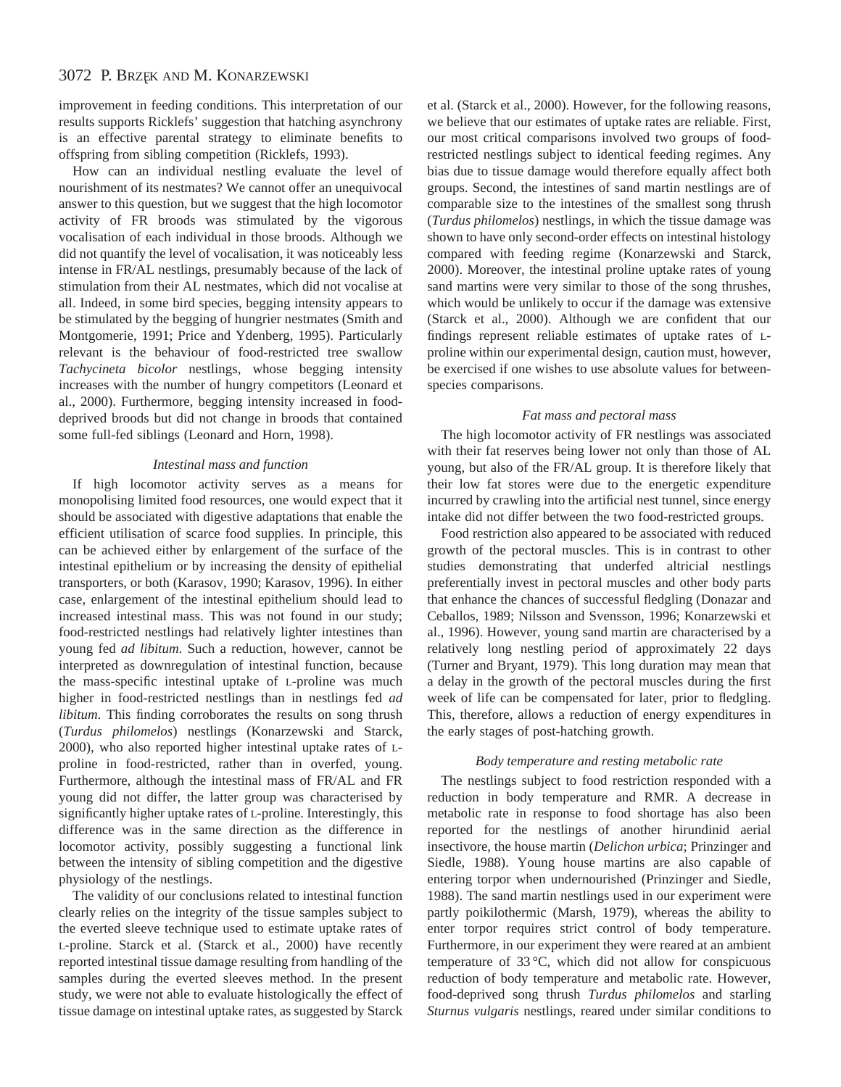improvement in feeding conditions. This interpretation of our results supports Ricklefs' suggestion that hatching asynchrony is an effective parental strategy to eliminate benefits to offspring from sibling competition (Ricklefs, 1993).

How can an individual nestling evaluate the level of nourishment of its nestmates? We cannot offer an unequivocal answer to this question, but we suggest that the high locomotor activity of FR broods was stimulated by the vigorous vocalisation of each individual in those broods. Although we did not quantify the level of vocalisation, it was noticeably less intense in FR/AL nestlings, presumably because of the lack of stimulation from their AL nestmates, which did not vocalise at all. Indeed, in some bird species, begging intensity appears to be stimulated by the begging of hungrier nestmates (Smith and Montgomerie, 1991; Price and Ydenberg, 1995). Particularly relevant is the behaviour of food-restricted tree swallow *Tachycineta bicolor* nestlings, whose begging intensity increases with the number of hungry competitors (Leonard et al., 2000). Furthermore, begging intensity increased in fooddeprived broods but did not change in broods that contained some full-fed siblings (Leonard and Horn, 1998).

## *Intestinal mass and function*

If high locomotor activity serves as a means for monopolising limited food resources, one would expect that it should be associated with digestive adaptations that enable the efficient utilisation of scarce food supplies. In principle, this can be achieved either by enlargement of the surface of the intestinal epithelium or by increasing the density of epithelial transporters, or both (Karasov, 1990; Karasov, 1996). In either case, enlargement of the intestinal epithelium should lead to increased intestinal mass. This was not found in our study; food-restricted nestlings had relatively lighter intestines than young fed *ad libitum*. Such a reduction, however, cannot be interpreted as downregulation of intestinal function, because the mass-specific intestinal uptake of L-proline was much higher in food-restricted nestlings than in nestlings fed *ad libitum*. This finding corroborates the results on song thrush (*Turdus philomelos*) nestlings (Konarzewski and Starck, 2000), who also reported higher intestinal uptake rates of Lproline in food-restricted, rather than in overfed, young. Furthermore, although the intestinal mass of FR/AL and FR young did not differ, the latter group was characterised by significantly higher uptake rates of L-proline. Interestingly, this difference was in the same direction as the difference in locomotor activity, possibly suggesting a functional link between the intensity of sibling competition and the digestive physiology of the nestlings.

The validity of our conclusions related to intestinal function clearly relies on the integrity of the tissue samples subject to the everted sleeve technique used to estimate uptake rates of L-proline. Starck et al. (Starck et al., 2000) have recently reported intestinal tissue damage resulting from handling of the samples during the everted sleeves method. In the present study, we were not able to evaluate histologically the effect of tissue damage on intestinal uptake rates, as suggested by Starck

et al. (Starck et al., 2000). However, for the following reasons, we believe that our estimates of uptake rates are reliable. First, our most critical comparisons involved two groups of foodrestricted nestlings subject to identical feeding regimes. Any bias due to tissue damage would therefore equally affect both groups. Second, the intestines of sand martin nestlings are of comparable size to the intestines of the smallest song thrush (*Turdus philomelos*) nestlings, in which the tissue damage was shown to have only second-order effects on intestinal histology compared with feeding regime (Konarzewski and Starck, 2000). Moreover, the intestinal proline uptake rates of young sand martins were very similar to those of the song thrushes, which would be unlikely to occur if the damage was extensive (Starck et al., 2000). Although we are confident that our findings represent reliable estimates of uptake rates of Lproline within our experimental design, caution must, however, be exercised if one wishes to use absolute values for betweenspecies comparisons.

## *Fat mass and pectoral mass*

The high locomotor activity of FR nestlings was associated with their fat reserves being lower not only than those of AL young, but also of the FR/AL group. It is therefore likely that their low fat stores were due to the energetic expenditure incurred by crawling into the artificial nest tunnel, since energy intake did not differ between the two food-restricted groups.

Food restriction also appeared to be associated with reduced growth of the pectoral muscles. This is in contrast to other studies demonstrating that underfed altricial nestlings preferentially invest in pectoral muscles and other body parts that enhance the chances of successful fledgling (Donazar and Ceballos, 1989; Nilsson and Svensson, 1996; Konarzewski et al., 1996). However, young sand martin are characterised by a relatively long nestling period of approximately 22 days (Turner and Bryant, 1979). This long duration may mean that a delay in the growth of the pectoral muscles during the first week of life can be compensated for later, prior to fledgling. This, therefore, allows a reduction of energy expenditures in the early stages of post-hatching growth.

## *Body temperature and resting metabolic rate*

The nestlings subject to food restriction responded with a reduction in body temperature and RMR. A decrease in metabolic rate in response to food shortage has also been reported for the nestlings of another hirundinid aerial insectivore, the house martin (*Delichon urbica*; Prinzinger and Siedle, 1988). Young house martins are also capable of entering torpor when undernourished (Prinzinger and Siedle, 1988). The sand martin nestlings used in our experiment were partly poikilothermic (Marsh, 1979), whereas the ability to enter torpor requires strict control of body temperature. Furthermore, in our experiment they were reared at an ambient temperature of 33 °C, which did not allow for conspicuous reduction of body temperature and metabolic rate. However, food-deprived song thrush *Turdus philomelos* and starling *Sturnus vulgaris* nestlings, reared under similar conditions to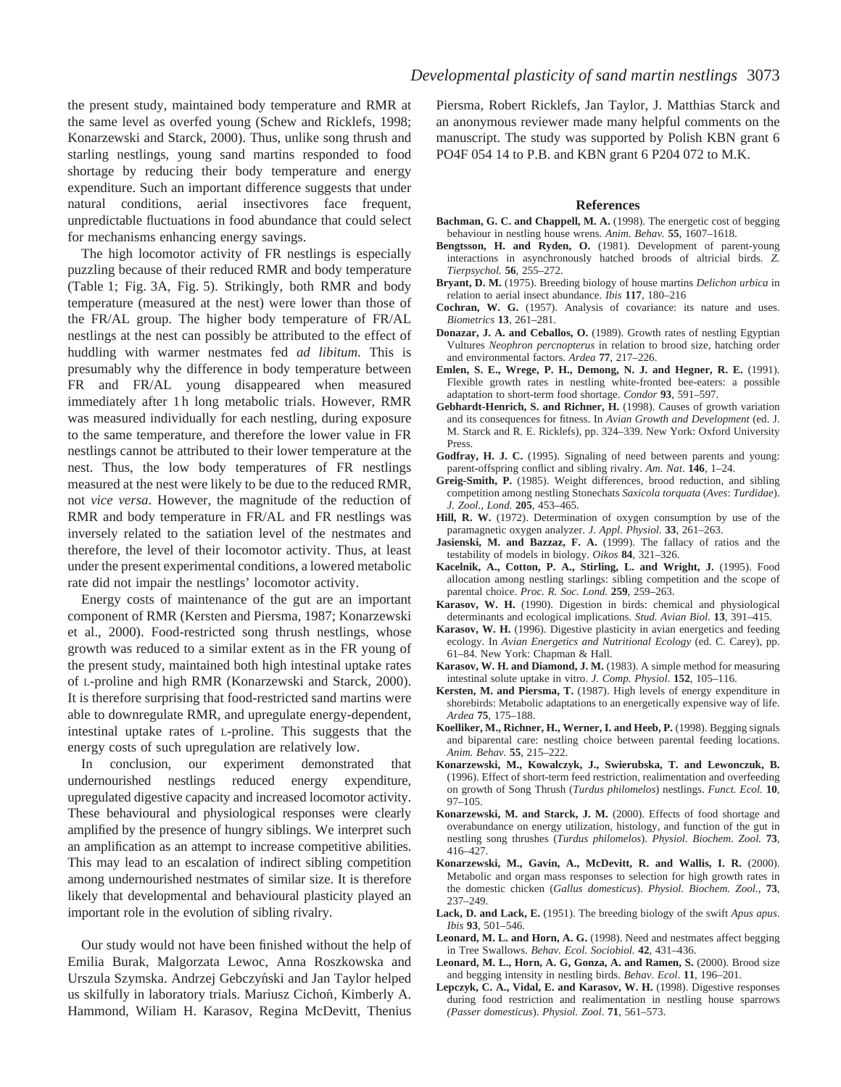the present study, maintained body temperature and RMR at the same level as overfed young (Schew and Ricklefs, 1998; Konarzewski and Starck, 2000). Thus, unlike song thrush and starling nestlings, young sand martins responded to food shortage by reducing their body temperature and energy expenditure. Such an important difference suggests that under natural conditions, aerial insectivores face frequent, unpredictable fluctuations in food abundance that could select for mechanisms enhancing energy savings.

The high locomotor activity of FR nestlings is especially puzzling because of their reduced RMR and body temperature (Table 1; Fig. 3A, Fig. 5). Strikingly, both RMR and body temperature (measured at the nest) were lower than those of the FR/AL group. The higher body temperature of FR/AL nestlings at the nest can possibly be attributed to the effect of huddling with warmer nestmates fed *ad libitum*. This is presumably why the difference in body temperature between FR and FR/AL young disappeared when measured immediately after 1 h long metabolic trials. However, RMR was measured individually for each nestling, during exposure to the same temperature, and therefore the lower value in FR nestlings cannot be attributed to their lower temperature at the nest. Thus, the low body temperatures of FR nestlings measured at the nest were likely to be due to the reduced RMR, not *vice versa*. However, the magnitude of the reduction of RMR and body temperature in FR/AL and FR nestlings was inversely related to the satiation level of the nestmates and therefore, the level of their locomotor activity. Thus, at least under the present experimental conditions, a lowered metabolic rate did not impair the nestlings' locomotor activity.

Energy costs of maintenance of the gut are an important component of RMR (Kersten and Piersma, 1987; Konarzewski et al., 2000). Food-restricted song thrush nestlings, whose growth was reduced to a similar extent as in the FR young of the present study, maintained both high intestinal uptake rates of L-proline and high RMR (Konarzewski and Starck, 2000). It is therefore surprising that food-restricted sand martins were able to downregulate RMR, and upregulate energy-dependent, intestinal uptake rates of L-proline. This suggests that the energy costs of such upregulation are relatively low.

In conclusion, our experiment demonstrated that undernourished nestlings reduced energy expenditure, upregulated digestive capacity and increased locomotor activity. These behavioural and physiological responses were clearly amplified by the presence of hungry siblings. We interpret such an amplification as an attempt to increase competitive abilities. This may lead to an escalation of indirect sibling competition among undernourished nestmates of similar size. It is therefore likely that developmental and behavioural plasticity played an important role in the evolution of sibling rivalry.

Our study would not have been finished without the help of Emilia Burak, Malgorzata Lewoc, Anna Roszkowska and Urszula Szymska. Andrzej Gebczyński and Jan Taylor helped us skilfully in laboratory trials. Mariusz Cichoń, Kimberly A. Hammond, Wiliam H. Karasov, Regina McDevitt, Thenius Piersma, Robert Ricklefs, Jan Taylor, J. Matthias Starck and an anonymous reviewer made many helpful comments on the manuscript. The study was supported by Polish KBN grant 6 PO4F 054 14 to P.B. and KBN grant 6 P204 072 to M.K.

#### **References**

- **Bachman, G. C. and Chappell, M. A.** (1998). The energetic cost of begging behaviour in nestling house wrens. *Anim. Behav.* **55**, 1607–1618.
- **Bengtsson, H. and Ryden, O.** (1981). Development of parent-young interactions in asynchronously hatched broods of altricial birds. *Z. Tierpsychol.* **56**, 255–272.
- **Bryant, D. M.** (1975). Breeding biology of house martins *Delichon urbica* in relation to aerial insect abundance. *Ibis* **117**, 180–216
- **Cochran, W. G.** (1957). Analysis of covariance: its nature and uses. *Biometrics* **13**, 261–281.
- **Donazar, J. A. and Ceballos, O.** (1989). Growth rates of nestling Egyptian Vultures *Neophron percnopterus* in relation to brood size, hatching order and environmental factors. *Ardea* **77**, 217–226.
- **Emlen, S. E., Wrege, P. H., Demong, N. J. and Hegner, R. E.** (1991). Flexible growth rates in nestling white-fronted bee-eaters: a possible adaptation to short-term food shortage. *Condor* **93**, 591–597.
- **Gebhardt-Henrich, S. and Richner, H.** (1998). Causes of growth variation and its consequences for fitness. In *Avian Growth and Development* (ed. J. M. Starck and R. E. Ricklefs), pp. 324–339. New York: Oxford University Press.
- **Godfray, H. J. C.** (1995). Signaling of need between parents and young: parent-offspring conflict and sibling rivalry. *Am. Nat*. **146**, 1–24.
- **Greig-Smith, P.** (1985). Weight differences, brood reduction, and sibling competition among nestling Stonechats *Saxicola torquata* (*Aves*: *Turdidae*). *J. Zool., Lond.* **205**, 453–465.
- **Hill, R. W.** (1972). Determination of oxygen consumption by use of the paramagnetic oxygen analyzer. *J. Appl. Physiol.* **33**, 261–263.
- **Jasienski, M. and Bazzaz, F. A.** (1999). The fallacy of ratios and the testability of models in biology. *Oikos* **84**, 321–326.
- **Kacelnik, A., Cotton, P. A., Stirling, L. and Wright, J.** (1995). Food allocation among nestling starlings: sibling competition and the scope of parental choice. *Proc. R. Soc. Lond.* **259**, 259–263.
- **Karasov, W. H.** (1990). Digestion in birds: chemical and physiological determinants and ecological implications. *Stud. Avian Biol.* **13**, 391–415.
- **Karasov, W. H.** (1996). Digestive plasticity in avian energetics and feeding ecology. In *Avian Energetics and Nutritional Ecology* (ed. C. Carey), pp. 61–84. New York: Chapman & Hall.
- **Karasov, W. H. and Diamond, J. M.** (1983). A simple method for measuring intestinal solute uptake in vitro. *J. Comp. Physiol.* **152**, 105–116.
- **Kersten, M. and Piersma, T.** (1987). High levels of energy expenditure in shorebirds: Metabolic adaptations to an energetically expensive way of life. *Ardea* **75**, 175–188.
- **Koelliker, M., Richner, H., Werner, I. and Heeb, P.** (1998). Begging signals and biparental care: nestling choice between parental feeding locations. *Anim. Behav.* **55**, 215–222.
- **Konarzewski, M., Kowalczyk, J., Swierubska, T. and Lewonczuk, B.** (1996). Effect of short-term feed restriction, realimentation and overfeeding on growth of Song Thrush (*Turdus philomelos*) nestlings. *Funct. Ecol.* **10**, 97–105.
- **Konarzewski, M. and Starck, J. M.** (2000). Effects of food shortage and overabundance on energy utilization, histology, and function of the gut in nestling song thrushes (*Turdus philomelos*). *Physiol. Biochem. Zool.* **73**, 416–427.
- **Konarzewski, M., Gavin, A., McDevitt, R. and Wallis, I. R.** (2000). Metabolic and organ mass responses to selection for high growth rates in the domestic chicken (*Gallus domesticus*). *Physiol. Biochem. Zool.*, **73**, 237–249.
- **Lack, D. and Lack, E.** (1951). The breeding biology of the swift *Apus apus*. *Ibis* **93**, 501–546.
- **Leonard, M. L. and Horn, A. G.** (1998). Need and nestmates affect begging in Tree Swallows. *Behav. Ecol. Sociobiol.* **42**, 431–436.
- Leonard, M. L., Horn, A. G, Gonza, A. and Ramen, S. (2000). Brood size and begging intensity in nestling birds. *Behav. Ecol*. **11**, 196–201.
- Lepczyk, C. A., Vidal, E. and Karasov, W. H. (1998). Digestive responses during food restriction and realimentation in nestling house sparrows *(Passer domesticus*). *Physiol. Zool*. **71**, 561–573.